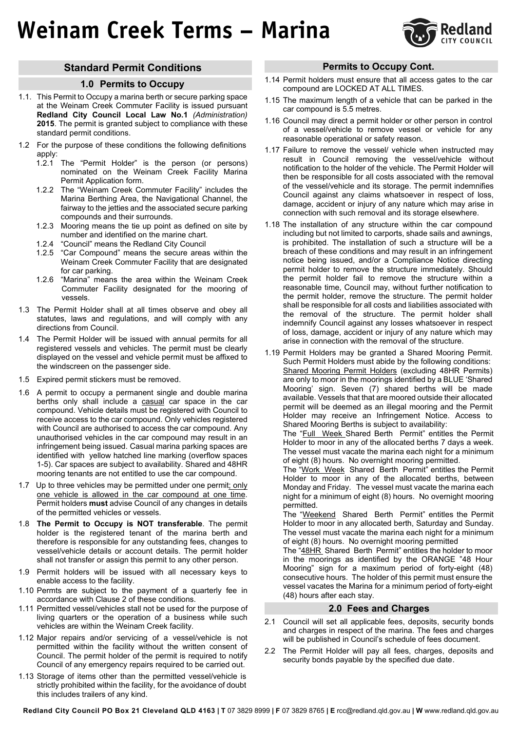## **Weinam Creek Terms – Marina**



## **Standard Permit Conditions**

#### **1.0 Permits to Occupy**

- 1.1. This Permit to Occupy a marina berth or secure parking space at the Weinam Creek Commuter Facility is issued pursuant **Redland City Council Local Law No.1** *(Administration)*  **2015**. The permit is granted subject to compliance with these standard permit conditions.
- 1.2 For the purpose of these conditions the following definitions apply:
	- 1.2.1 The "Permit Holder" is the person (or persons) nominated on the Weinam Creek Facility Marina Permit Application form.
	- 1.2.2 The "Weinam Creek Commuter Facility" includes the Marina Berthing Area, the Navigational Channel, the fairway to the jetties and the associated secure parking compounds and their surrounds.
	- 1.2.3 Mooring means the tie up point as defined on site by number and identified on the marine chart.
	- 1.2.4 "Council" means the Redland City Council
	- 1.2.5 "Car Compound" means the secure areas within the Weinam Creek Commuter Facility that are designated for car parking.
	- 1.2.6 "Marina" means the area within the Weinam Creek Commuter Facility designated for the mooring of vessels.
- 1.3 The Permit Holder shall at all times observe and obey all statutes, laws and regulations, and will comply with any directions from Council.
- 1.4 The Permit Holder will be issued with annual permits for all registered vessels and vehicles. The permit must be clearly displayed on the vessel and vehicle permit must be affixed to the windscreen on the passenger side.
- 1.5 Expired permit stickers must be removed.
- 1.6 A permit to occupy a permanent single and double marina berths only shall include a casual car space in the car compound. Vehicle details must be registered with Council to receive access to the car compound. Only vehicles registered with Council are authorised to access the car compound. Any unauthorised vehicles in the car compound may result in an infringement being issued. Casual marina parking spaces are identified with yellow hatched line marking (overflow spaces 1-5). Car spaces are subject to availability. Shared and 48HR mooring tenants are not entitled to use the car compound.
- 1.7 Up to three vehicles may be permitted under one permit; only one vehicle is allowed in the car compound at one time. Permit holders **must** advise Council of any changes in details of the permitted vehicles or vessels.
- 1.8 **The Permit to Occupy is NOT transferable**. The permit holder is the registered tenant of the marina berth and therefore is responsible for any outstanding fees, changes to vessel/vehicle details or account details. The permit holder shall not transfer or assign this permit to any other person.
- 1.9 Permit holders will be issued with all necessary keys to enable access to the facility.
- 1.10 Permts are subject to the payment of a quarterly fee in accordance with Clause 2 of these conditions.
- 1.11 Permitted vessel/vehicles stall not be used for the purpose of living quarters or the operation of a business while such vehicles are within the Weinam Creek facility.
- 1.12 Major repairs and/or servicing of a vessel/vehicle is not permitted within the facility without the written consent of Council. The permit holder of the permit is required to notify Council of any emergency repairs required to be carried out.
- 1.13 Storage of items other than the permitted vessel/vehicle is strictly prohibited within the facility, for the avoidance of doubt this includes trailers of any kind.

## **Permits to Occupy Cont.**

- 1.14 Permit holders must ensure that all access gates to the car compound are LOCKED AT ALL TIMES.
- 1.15 The maximum length of a vehicle that can be parked in the car compound is 5.5 metres.
- 1.16 Council may direct a permit holder or other person in control of a vessel/vehicle to remove vessel or vehicle for any reasonable operational or safety reason.
- 1.17 Failure to remove the vessel/ vehicle when instructed may result in Council removing the vessel/vehicle without notification to the holder of the vehicle. The Permit Holder will then be responsible for all costs associated with the removal of the vessel/vehicle and its storage. The permit indemnifies Council against any claims whatsoever in respect of loss, damage, accident or injury of any nature which may arise in connection with such removal and its storage elsewhere.
- 1.18 The installation of any structure within the car compound including but not limited to carports, shade sails and awnings, is prohibited. The installation of such a structure will be a breach of these conditions and may result in an infringement notice being issued, and/or a Compliance Notice directing permit holder to remove the structure immediately. Should the permit holder fail to remove the structure within a reasonable time, Council may, without further notification to the permit holder, remove the structure. The permit holder shall be responsible for all costs and liabilities associated with the removal of the structure. The permit holder shall indemnify Council against any losses whatsoever in respect of loss, damage, accident or injury of any nature which may arise in connection with the removal of the structure.
- 1.19 Permit Holders may be granted a Shared Mooring Permit. Such Permit Holders must abide by the following conditions: Shared Mooring Permit Holders (excluding 48HR Permits) are only to moor in the moorings identified by a BLUE 'Shared Mooring' sign. Seven (7) shared berths will be made available. Vessels that that are moored outside their allocated permit will be deemed as an illegal mooring and the Permit Holder may receive an Infringement Notice. Access to Shared Mooring Berths is subject to availability:

The "Full Week Shared Berth Permit" entitles the Permit Holder to moor in any of the allocated berths 7 days a week. The vessel must vacate the marina each night for a minimum of eight (8) hours. No overnight mooring permitted.

The "Work Week Shared Berth Permit" entitles the Permit Holder to moor in any of the allocated berths, between Monday and Friday. The vessel must vacate the marina each night for a minimum of eight (8) hours. No overnight mooring permitted.

The "Weekend Shared Berth Permit" entitles the Permit Holder to moor in any allocated berth, Saturday and Sunday. The vessel must vacate the marina each night for a minimum of eight (8) hours. No overnight mooring permitted

The "48HR Shared Berth Permit" entitles the holder to moor in the moorings as identified by the ORANGE "48 Hour Mooring" sign for a maximum period of forty-eight (48) consecutive hours. The holder of this permit must ensure the vessel vacates the Marina for a minimum period of forty-eight (48) hours after each stay.

#### **2.0 Fees and Charges**

- 2.1 Council will set all applicable fees, deposits, security bonds and charges in respect of the marina. The fees and charges will be published in Council's schedule of fees document.
- 2.2 The Permit Holder will pay all fees, charges, deposits and security bonds payable by the specified due date.